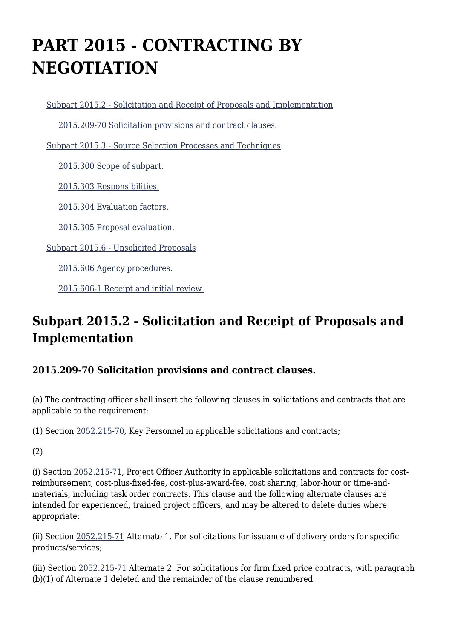# **PART 2015 - CONTRACTING BY NEGOTIATION**

[Subpart 2015.2 - Solicitation and Receipt of Proposals and Implementation](https://origin-www.acquisition.gov/%5Brp:link:nrcar-part-2015%5D#Subpart_2015_2_T48_60633111)

[2015.209-70 Solicitation provisions and contract clauses.](https://origin-www.acquisition.gov/%5Brp:link:nrcar-part-2015%5D#Section_2015_209_70_T48_6063311111)

[Subpart 2015.3 - Source Selection Processes and Techniques](https://origin-www.acquisition.gov/%5Brp:link:nrcar-part-2015%5D#Subpart_2015_3_T48_60633112)

[2015.300 Scope of subpart.](https://origin-www.acquisition.gov/%5Brp:link:nrcar-part-2015%5D#Section_2015_300_T48_6063311211)

[2015.303 Responsibilities.](https://origin-www.acquisition.gov/%5Brp:link:nrcar-part-2015%5D#Section_2015_303_T48_6063311212)

[2015.304 Evaluation factors.](https://origin-www.acquisition.gov/%5Brp:link:nrcar-part-2015%5D#Section_2015_304_T48_6063311213)

[2015.305 Proposal evaluation.](https://origin-www.acquisition.gov/%5Brp:link:nrcar-part-2015%5D#Section_2015_305_T48_6063311214)

[Subpart 2015.6 - Unsolicited Proposals](https://origin-www.acquisition.gov/%5Brp:link:nrcar-part-2015%5D#Subpart_2015_6_T48_60633113)

[2015.606 Agency procedures.](https://origin-www.acquisition.gov/%5Brp:link:nrcar-part-2015%5D#Section_2015_606_T48_6063311311)

[2015.606-1 Receipt and initial review.](https://origin-www.acquisition.gov/%5Brp:link:nrcar-part-2015%5D#Section_2015_606_1_T48_6063311312)

# **Subpart 2015.2 - Solicitation and Receipt of Proposals and Implementation**

#### **2015.209-70 Solicitation provisions and contract clauses.**

(a) The contracting officer shall insert the following clauses in solicitations and contracts that are applicable to the requirement:

(1) Section [2052.215-70,](https://origin-www.acquisition.gov/%5Brp:link:nrcar-part-2052%5D#Section_2052_215_70_T48_60638251115) Key Personnel in applicable solicitations and contracts;

(2)

(i) Section [2052.215-71](https://origin-www.acquisition.gov/%5Brp:link:nrcar-part-2052%5D#Section_2052_215_71_T48_60638251116), Project Officer Authority in applicable solicitations and contracts for costreimbursement, cost-plus-fixed-fee, cost-plus-award-fee, cost sharing, labor-hour or time-andmaterials, including task order contracts. This clause and the following alternate clauses are intended for experienced, trained project officers, and may be altered to delete duties where appropriate:

(ii) Section [2052.215-71](https://origin-www.acquisition.gov/%5Brp:link:nrcar-part-2052%5D#Section_2052_215_71_T48_60638251116) Alternate 1. For solicitations for issuance of delivery orders for specific products/services;

(iii) Section [2052.215-71](https://origin-www.acquisition.gov/%5Brp:link:nrcar-part-2052%5D#Section_2052_215_71_T48_60638251116) Alternate 2. For solicitations for firm fixed price contracts, with paragraph (b)(1) of Alternate 1 deleted and the remainder of the clause renumbered.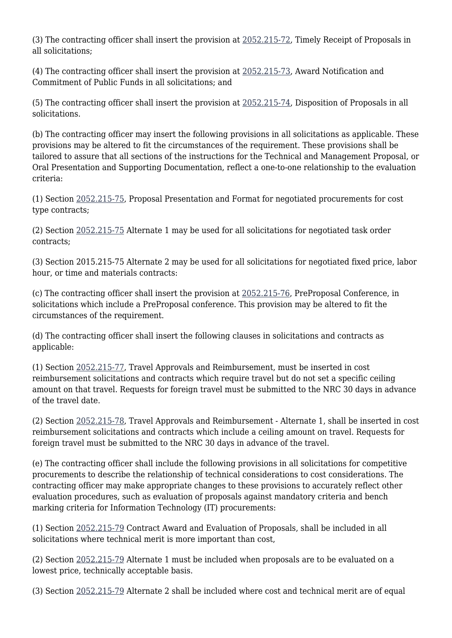(3) The contracting officer shall insert the provision at [2052.215-72,](https://origin-www.acquisition.gov/%5Brp:link:nrcar-part-2052%5D#Section_2052_215_72_T48_60638251117) Timely Receipt of Proposals in all solicitations;

(4) The contracting officer shall insert the provision at [2052.215-73,](https://origin-www.acquisition.gov/%5Brp:link:nrcar-part-2052%5D#Section_2052_215_73_T48_60638251118) Award Notification and Commitment of Public Funds in all solicitations; and

(5) The contracting officer shall insert the provision at [2052.215-74,](https://origin-www.acquisition.gov/%5Brp:link:nrcar-part-2052%5D#Section_2052_215_74_T48_60638251119) Disposition of Proposals in all solicitations.

(b) The contracting officer may insert the following provisions in all solicitations as applicable. These provisions may be altered to fit the circumstances of the requirement. These provisions shall be tailored to assure that all sections of the instructions for the Technical and Management Proposal, or Oral Presentation and Supporting Documentation, reflect a one-to-one relationship to the evaluation criteria:

(1) Section [2052.215-75,](https://origin-www.acquisition.gov/%5Brp:link:nrcar-part-2052%5D#Section_2052_215_75_T48_60638251120) Proposal Presentation and Format for negotiated procurements for cost type contracts;

(2) Section [2052.215-75](https://origin-www.acquisition.gov/%5Brp:link:nrcar-part-2052%5D#Section_2052_215_75_T48_60638251120) Alternate 1 may be used for all solicitations for negotiated task order contracts;

(3) Section 2015.215-75 Alternate 2 may be used for all solicitations for negotiated fixed price, labor hour, or time and materials contracts:

(c) The contracting officer shall insert the provision at [2052.215-76,](https://origin-www.acquisition.gov/%5Brp:link:nrcar-part-2052%5D#Section_2052_215_76_T48_60638251121) PreProposal Conference, in solicitations which include a PreProposal conference. This provision may be altered to fit the circumstances of the requirement.

(d) The contracting officer shall insert the following clauses in solicitations and contracts as applicable:

(1) Section [2052.215-77,](https://origin-www.acquisition.gov/%5Brp:link:nrcar-part-2052%5D#Section_2052_215_77_T48_60638251122) Travel Approvals and Reimbursement, must be inserted in cost reimbursement solicitations and contracts which require travel but do not set a specific ceiling amount on that travel. Requests for foreign travel must be submitted to the NRC 30 days in advance of the travel date.

(2) Section [2052.215-78,](https://origin-www.acquisition.gov/%5Brp:link:nrcar-part-2052%5D#Section_2052_215_78_T48_60638251123) Travel Approvals and Reimbursement - Alternate 1, shall be inserted in cost reimbursement solicitations and contracts which include a ceiling amount on travel. Requests for foreign travel must be submitted to the NRC 30 days in advance of the travel.

(e) The contracting officer shall include the following provisions in all solicitations for competitive procurements to describe the relationship of technical considerations to cost considerations. The contracting officer may make appropriate changes to these provisions to accurately reflect other evaluation procedures, such as evaluation of proposals against mandatory criteria and bench marking criteria for Information Technology (IT) procurements:

(1) Section [2052.215-79](https://origin-www.acquisition.gov/%5Brp:link:nrcar-part-2052%5D#Section_2052_215_79_T48_60638251124) Contract Award and Evaluation of Proposals, shall be included in all solicitations where technical merit is more important than cost,

(2) Section [2052.215-79](https://origin-www.acquisition.gov/%5Brp:link:nrcar-part-2052%5D#Section_2052_215_79_T48_60638251124) Alternate 1 must be included when proposals are to be evaluated on a lowest price, technically acceptable basis.

(3) Section [2052.215-79](https://origin-www.acquisition.gov/%5Brp:link:nrcar-part-2052%5D#Section_2052_215_79_T48_60638251124) Alternate 2 shall be included where cost and technical merit are of equal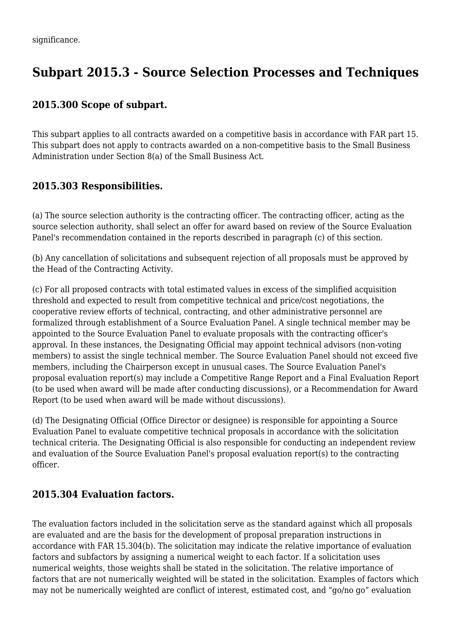# **Subpart 2015.3 - Source Selection Processes and Techniques**

### **2015.300 Scope of subpart.**

This subpart applies to all contracts awarded on a competitive basis in accordance with FAR part 15. This subpart does not apply to contracts awarded on a non-competitive basis to the Small Business Administration under Section 8(a) of the Small Business Act.

## **2015.303 Responsibilities.**

(a) The source selection authority is the contracting officer. The contracting officer, acting as the source selection authority, shall select an offer for award based on review of the Source Evaluation Panel's recommendation contained in the reports described in paragraph (c) of this section.

(b) Any cancellation of solicitations and subsequent rejection of all proposals must be approved by the Head of the Contracting Activity.

(c) For all proposed contracts with total estimated values in excess of the simplified acquisition threshold and expected to result from competitive technical and price/cost negotiations, the cooperative review efforts of technical, contracting, and other administrative personnel are formalized through establishment of a Source Evaluation Panel. A single technical member may be appointed to the Source Evaluation Panel to evaluate proposals with the contracting officer's approval. In these instances, the Designating Official may appoint technical advisors (non-voting members) to assist the single technical member. The Source Evaluation Panel should not exceed five members, including the Chairperson except in unusual cases. The Source Evaluation Panel's proposal evaluation report(s) may include a Competitive Range Report and a Final Evaluation Report (to be used when award will be made after conducting discussions), or a Recommendation for Award Report (to be used when award will be made without discussions).

(d) The Designating Official (Office Director or designee) is responsible for appointing a Source Evaluation Panel to evaluate competitive technical proposals in accordance with the solicitation technical criteria. The Designating Official is also responsible for conducting an independent review and evaluation of the Source Evaluation Panel's proposal evaluation report(s) to the contracting officer.

#### **2015.304 Evaluation factors.**

The evaluation factors included in the solicitation serve as the standard against which all proposals are evaluated and are the basis for the development of proposal preparation instructions in accordance with FAR 15.304(b). The solicitation may indicate the relative importance of evaluation factors and subfactors by assigning a numerical weight to each factor. If a solicitation uses numerical weights, those weights shall be stated in the solicitation. The relative importance of factors that are not numerically weighted will be stated in the solicitation. Examples of factors which may not be numerically weighted are conflict of interest, estimated cost, and "go/no go" evaluation